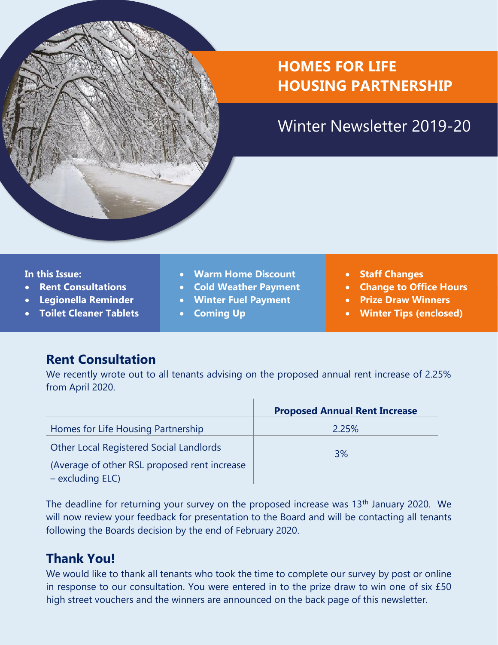## **HOMES FOR LIFE HOUSING PARTNERSHIP**

## Winter Newsletter 2019-20

#### **In this Issue:**

- **Rent Consultations**
- **Legionella Reminder**
- **Toilet Cleaner Tablets**
- **Warm Home Discount**
- **Cold Weather Payment**
- **Winter Fuel Payment**
- **Coming Up**
- **Staff Changes**
- **Change to Office Hours**
- **Prize Draw Winners**
- **Winter Tips (enclosed)**

#### **Rent Consultation**

We recently wrote out to all tenants advising on the proposed annual rent increase of 2.25% from April 2020.

|                                                                  | <b>Proposed Annual Rent Increase</b> |
|------------------------------------------------------------------|--------------------------------------|
| Homes for Life Housing Partnership                               | 2.25%                                |
| <b>Other Local Registered Social Landlords</b>                   | 3%                                   |
| (Average of other RSL proposed rent increase<br>- excluding ELC) |                                      |

The deadline for returning your survey on the proposed increase was 13<sup>th</sup> January 2020. We will now review your feedback for presentation to the Board and will be contacting all tenants following the Boards decision by the end of February 2020.

#### **Thank You!**

We would like to thank all tenants who took the time to complete our survey by post or online in response to our consultation. You were entered in to the prize draw to win one of six £50 high street vouchers and the winners are announced on the back page of this newsletter.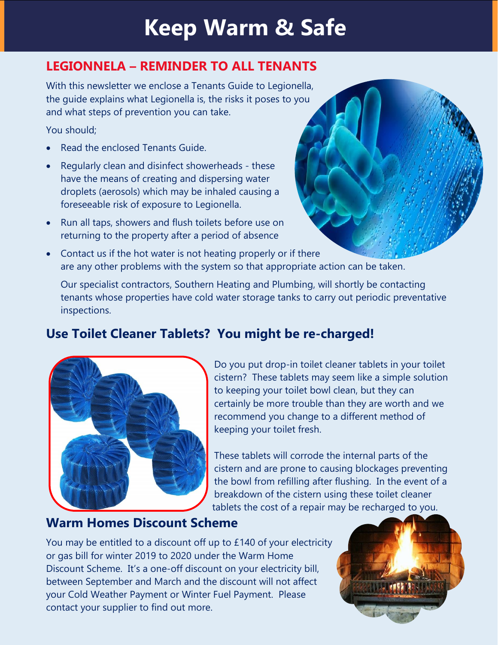## **Keep Warm & Safe**

### **LEGIONNELA – REMINDER TO ALL TENANTS**

With this newsletter we enclose a Tenants Guide to Legionella, the guide explains what Legionella is, the risks it poses to you and what steps of prevention you can take.

You should;

- Read the enclosed Tenants Guide.
- Regularly clean and disinfect showerheads these have the means of creating and dispersing water droplets (aerosols) which may be inhaled causing a foreseeable risk of exposure to Legionella.
- Run all taps, showers and flush toilets before use on returning to the property after a period of absence
- Contact us if the hot water is not heating properly or if there are any other problems with the system so that appropriate action can be taken.

Our specialist contractors, Southern Heating and Plumbing, will shortly be contacting tenants whose properties have cold water storage tanks to carry out periodic preventative inspections.

## **Use Toilet Cleaner Tablets? You might be re-charged!**



Do you put drop-in toilet cleaner tablets in your toilet cistern? These tablets may seem like a simple solution to keeping your toilet bowl clean, but they can certainly be more trouble than they are worth and we recommend you change to a different method of keeping your toilet fresh.

These tablets will corrode the internal parts of the cistern and are prone to causing blockages preventing the bowl from refilling after flushing. In the event of a breakdown of the cistern using these toilet cleaner tablets the cost of a repair may be recharged to you.

#### **Warm Homes Discount Scheme**

You may be entitled to a discount off up to £140 of your electricity or gas bill for winter 2019 to 2020 under the Warm Home Discount Scheme. It's a one-off discount on your electricity bill, between September and March and the discount will not affect your Cold Weather [Payment](https://www.gov.uk/cold-weather-payment) or Winter Fuel [Payment.](https://www.gov.uk/winter-fuel-payment) Please contact your supplier to find out more.

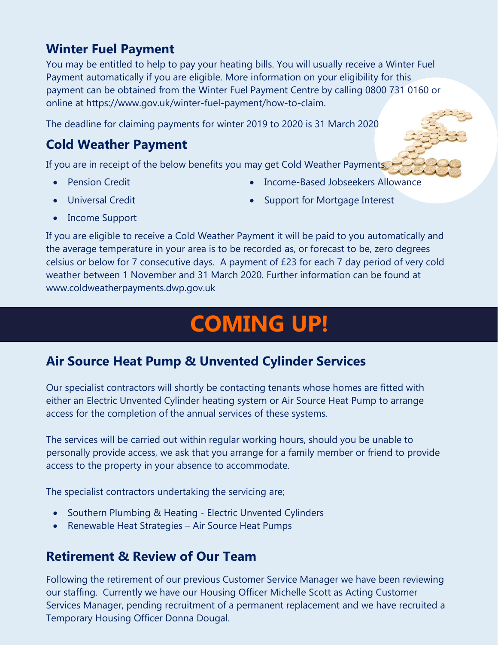#### **Winter Fuel Payment**

You may be entitled to help to pay your heating bills. You will usually receive a Winter Fuel Payment automatically if you are eligible. More information on your eligibility for this payment can be obtained from the Winter Fuel Payment Centre by calling 0800 731 0160 or online at https://www.gov.uk/winter-fuel-payment/how-to-claim.

The deadline for claiming payments for winter 2019 to 2020 is 31 March 2020

### **Cold Weather Payment**

If you are in receipt of the below benefits you may get Cold Weather Payments.

**Pension Credit** 

• Income-Based Jobseekers Allowance

• Universal Credit

Support for Mortgage Interest

• Income Support

If you are eligible to receive a Cold Weather Payment it will be paid to you automatically and the average temperature in your area is to be recorded as, or forecast to be, zero degrees celsius or below for 7 consecutive days. A payment of £23 for each 7 day period of very cold weather between 1 November and 31 March 2020. Further information can be found at www.coldweatherpayments.dwp.gov.uk

# **COMING UP!**

#### **Air Source Heat Pump & Unvented Cylinder Services**

Our specialist contractors will shortly be contacting tenants whose homes are fitted with either an Electric Unvented Cylinder heating system or Air Source Heat Pump to arrange access for the completion of the annual services of these systems.

The services will be carried out within regular working hours, should you be unable to personally provide access, we ask that you arrange for a family member or friend to provide access to the property in your absence to accommodate.

The specialist contractors undertaking the servicing are;

- Southern Plumbing & Heating Electric Unvented Cylinders
- Renewable Heat Strategies Air Source Heat Pumps

#### **Retirement & Review of Our Team**

Following the retirement of our previous Customer Service Manager we have been reviewing our staffing. Currently we have our Housing Officer Michelle Scott as Acting Customer Services Manager, pending recruitment of a permanent replacement and we have recruited a Temporary Housing Officer Donna Dougal.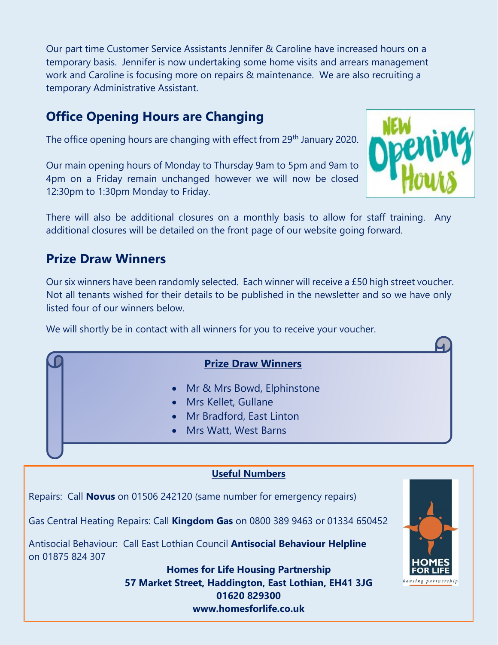Our part time Customer Service Assistants Jennifer & Caroline have increased hours on a temporary basis. Jennifer is now undertaking some home visits and arrears management work and Caroline is focusing more on repairs & maintenance. We are also recruiting a temporary Administrative Assistant.

### **Office Opening Hours are Changing**

The office opening hours are changing with effect from 29<sup>th</sup> January 2020.

Our main opening hours of Monday to Thursday 9am to 5pm and 9am to 4pm on a Friday remain unchanged however we will now be closed 12:30pm to 1:30pm Monday to Friday.



There will also be additional closures on a monthly basis to allow for staff training. Any additional closures will be detailed on the front page of our website going forward.

#### **Prize Draw Winners**

Our six winners have been randomly selected. Each winner will receive a £50 high street voucher. Not all tenants wished for their details to be published in the newsletter and so we have only listed four of our winners below.

We will shortly be in contact with all winners for you to receive your voucher.

#### **Prize Draw Winners**

- Mr & Mrs Bowd, Elphinstone
- Mrs Kellet, Gullane
- Mr Bradford, East Linton
- Mrs Watt, West Barns

#### **Useful Numbers**

Repairs: Call **Novus** on 01506 242120 (same number for emergency repairs)

Gas Central Heating Repairs: Call **Kingdom Gas** on 0800 389 9463 or 01334 650452

Antisocial Behaviour: Call East Lothian Council **Antisocial Behaviour Helpline** on 01875 824 307

> **Homes for Life Housing Partnership 57 Market Street, Haddington, East Lothian, EH41 3JG 01620 829300 www.homesforlife.co.uk**